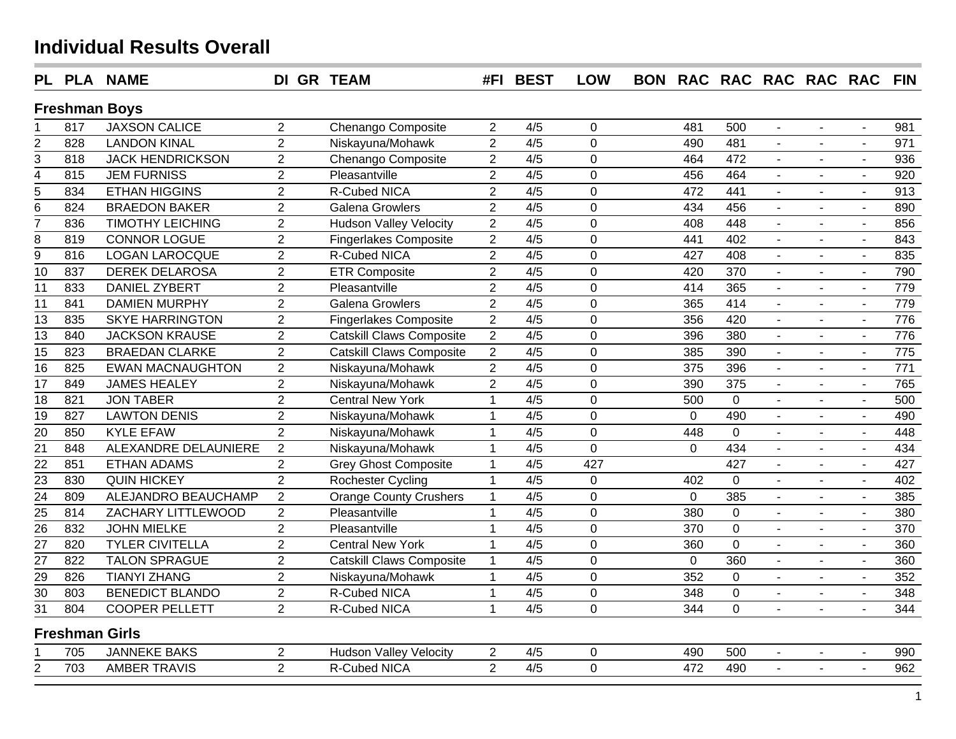|                 |                       | PL PLA NAME             | <b>DI GR TEAM</b> |                                 |                | #FI BEST         | <b>LOW</b>     | <b>BON</b> |             |                 | RAC RAC RAC RAC RAC |                          |                          | <b>FIN</b> |
|-----------------|-----------------------|-------------------------|-------------------|---------------------------------|----------------|------------------|----------------|------------|-------------|-----------------|---------------------|--------------------------|--------------------------|------------|
|                 |                       | <b>Freshman Boys</b>    |                   |                                 |                |                  |                |            |             |                 |                     |                          |                          |            |
|                 | 817                   | <b>JAXSON CALICE</b>    | $\overline{2}$    | Chenango Composite              | $\overline{2}$ | 4/5              | 0              |            | 481         | 500             | $\sim$              | $\sim$                   | $\sim$                   | 981        |
|                 | 828                   | <b>LANDON KINAL</b>     | $\overline{2}$    | Niskayuna/Mohawk                | $\overline{2}$ | 4/5              | 0              |            | 490         | 481             |                     |                          |                          | 971        |
| $rac{2}{3}$     | 818                   | <b>JACK HENDRICKSON</b> | $\overline{2}$    | Chenango Composite              | $\overline{2}$ | 4/5              | 0              |            | 464         | 472             | $\blacksquare$      |                          | $\sim$                   | 936        |
| $\frac{5}{4}$   | 815                   | <b>JEM FURNISS</b>      | $\overline{2}$    | Pleasantville                   | $\overline{2}$ | 4/5              | 0              |            | 456         | 464             | $\sim$              |                          | $\sim$                   | 920        |
|                 | 834                   | <b>ETHAN HIGGINS</b>    | $\overline{2}$    | R-Cubed NICA                    | $\overline{2}$ | $\overline{4/5}$ | $\overline{0}$ |            | 472         | 441             |                     |                          | $\sim$                   | 913        |
| $\overline{6}$  | 824                   | <b>BRAEDON BAKER</b>    | $\overline{2}$    | <b>Galena Growlers</b>          | $\overline{2}$ | 4/5              | $\overline{0}$ |            | 434         | 456             |                     | $\overline{a}$           | $\sim$                   | 890        |
| $\overline{7}$  | 836                   | <b>TIMOTHY LEICHING</b> | $\overline{2}$    | <b>Hudson Valley Velocity</b>   | $\overline{2}$ | 4/5              | 0              |            | 408         | 448             | $\overline{a}$      | $\overline{a}$           | $\blacksquare$           | 856        |
| $\overline{8}$  | 819                   | <b>CONNOR LOGUE</b>     | $\overline{2}$    | <b>Fingerlakes Composite</b>    | $\overline{2}$ | $\overline{4/5}$ | $\overline{0}$ |            | 441         | 402             |                     | $\sim$                   | $\blacksquare$           | 843        |
| $\overline{9}$  | 816                   | <b>LOGAN LAROCQUE</b>   | $\overline{2}$    | <b>R-Cubed NICA</b>             | $\overline{2}$ | $\overline{4/5}$ | 0              |            | 427         | 408             |                     |                          | $\blacksquare$           | 835        |
| $\overline{10}$ | 837                   | <b>DEREK DELAROSA</b>   | $\overline{2}$    | <b>ETR Composite</b>            | $\overline{2}$ | 4/5              | 0              |            | 420         | 370             | $\blacksquare$      | $\blacksquare$           | $\blacksquare$           | 790        |
| 11              | 833                   | <b>DANIEL ZYBERT</b>    | $\overline{2}$    | Pleasantville                   | $\overline{2}$ | 4/5              | 0              |            | 414         | 365             | $\blacksquare$      | $\blacksquare$           | $\blacksquare$           | 779        |
| 11              | 841                   | <b>DAMIEN MURPHY</b>    | $\overline{2}$    | <b>Galena Growlers</b>          | $\overline{2}$ | 4/5              | $\overline{0}$ |            | 365         | 414             | $\sim$              | $\blacksquare$           | $\blacksquare$           | 779        |
| 13              | 835                   | <b>SKYE HARRINGTON</b>  | $\overline{2}$    | <b>Fingerlakes Composite</b>    | $\overline{2}$ | 4/5              | 0              |            | 356         | 420             |                     | $\blacksquare$           | $\omega$                 | 776        |
| 13              | 840                   | <b>JACKSON KRAUSE</b>   | $\overline{2}$    | <b>Catskill Claws Composite</b> | $\overline{2}$ | 4/5              | 0              |            | 396         | 380             |                     |                          | $\blacksquare$           | 776        |
| $\overline{15}$ | 823                   | <b>BRAEDAN CLARKE</b>   | $\overline{2}$    | <b>Catskill Claws Composite</b> | $\overline{2}$ | 4/5              | 0              |            | 385         | 390             | $\mathbb{Z}^2$      | $\overline{\phantom{a}}$ | $\mathbf{r}$             | 775        |
| 16              | 825                   | <b>EWAN MACNAUGHTON</b> | $\overline{2}$    | Niskayuna/Mohawk                | $\overline{2}$ | 4/5              | 0              |            | 375         | 396             | $\mathbf{L}$        | $\sim$                   | $\sim$                   | 771        |
| $\overline{17}$ | 849                   | <b>JAMES HEALEY</b>     | $\overline{2}$    | Niskayuna/Mohawk                | $\overline{2}$ | 4/5              | 0              |            | 390         | $\frac{1}{375}$ | $\blacksquare$      | $\sim$                   | $\sim$                   | 765        |
| 18              | 821                   | <b>JON TABER</b>        | $\overline{2}$    | <b>Central New York</b>         | $\mathbf{1}$   | 4/5              | 0              |            | 500         | $\overline{0}$  | $\sim$              | $\sim$                   | $\sim$                   | 500        |
| $\overline{19}$ | 827                   | <b>LAWTON DENIS</b>     | $\overline{2}$    | Niskayuna/Mohawk                | $\mathbf{1}$   | 4/5              | 0              |            | $\mathbf 0$ | 490             | $\blacksquare$      | $\blacksquare$           | $\sim$                   | 490        |
| $\overline{20}$ | 850                   | <b>KYLE EFAW</b>        | $\overline{2}$    | Niskayuna/Mohawk                | $\mathbf{1}$   | 4/5              | 0              |            | 448         | $\overline{0}$  | $\sim$              | $\blacksquare$           | $\blacksquare$           | 448        |
| $\overline{21}$ | 848                   | ALEXANDRE DELAUNIERE    | $\overline{2}$    | Niskayuna/Mohawk                | $\mathbf{1}$   | 4/5              | 0              |            | $\Omega$    | 434             | $\sim$              | $\overline{a}$           | $\sim$                   | 434        |
| $\overline{22}$ | 851                   | <b>ETHAN ADAMS</b>      | $\overline{2}$    | <b>Grey Ghost Composite</b>     | $\mathbf{1}$   | 4/5              | 427            |            |             | 427             | $\blacksquare$      | $\blacksquare$           | $\sim$                   | 427        |
| $\overline{23}$ | 830                   | <b>QUIN HICKEY</b>      | $\overline{2}$    | Rochester Cycling               | $\mathbf{1}$   | 4/5              | 0              |            | 402         | 0               | $\blacksquare$      | $\blacksquare$           | $\blacksquare$           | 402        |
| 24              | 809                   | ALEJANDRO BEAUCHAMP     | 2                 | <b>Orange County Crushers</b>   | 1              | 4/5              | 0              |            | $\mathbf 0$ | 385             | $\blacksquare$      | $\blacksquare$           | $\blacksquare$           | 385        |
| 25              | 814                   | ZACHARY LITTLEWOOD      | $\overline{2}$    | Pleasantville                   | 1              | 4/5              | 0              |            | 380         | $\Omega$        | $\blacksquare$      | $\overline{\phantom{a}}$ | $\blacksquare$           | 380        |
| $\overline{26}$ | 832                   | <b>JOHN MIELKE</b>      | $\overline{2}$    | Pleasantville                   | $\mathbf 1$    | 4/5              | $\overline{0}$ |            | 370         | $\Omega$        | $\blacksquare$      |                          | $\blacksquare$           | 370        |
| $\overline{27}$ | 820                   | <b>TYLER CIVITELLA</b>  | $\overline{2}$    | <b>Central New York</b>         | $\mathbf{1}$   | 4/5              | 0              |            | 360         | $\Omega$        |                     |                          | $\blacksquare$           | 360        |
| 27              | 822                   | <b>TALON SPRAGUE</b>    | $\overline{2}$    | <b>Catskill Claws Composite</b> | 1              | 4/5              | 0              |            | $\mathbf 0$ | 360             |                     |                          |                          | 360        |
| $\frac{29}{2}$  | 826                   | <b>TIANYI ZHANG</b>     | $\overline{2}$    | Niskayuna/Mohawk                | 1              | 4/5              | 0              |            | 352         | $\Omega$        |                     |                          |                          | 352        |
| 30              | 803                   | <b>BENEDICT BLANDO</b>  | $\overline{2}$    | R-Cubed NICA                    | $\mathbf{1}$   | 4/5              | 0              |            | 348         | $\Omega$        |                     |                          |                          | 348        |
| $\overline{31}$ | 804                   | <b>COOPER PELLETT</b>   | 2                 | R-Cubed NICA                    | $\mathbf{1}$   | 4/5              | $\overline{0}$ |            | 344         | $\Omega$        | $\sim$              |                          | $\blacksquare$           | 344        |
|                 | <b>Freshman Girls</b> |                         |                   |                                 |                |                  |                |            |             |                 |                     |                          |                          |            |
|                 | 705                   | <b>JANNEKE BAKS</b>     | 2                 | <b>Hudson Valley Velocity</b>   | $\overline{2}$ | 4/5              | 0              |            | 490         | 500             | $\blacksquare$      | $\sim$                   | $\overline{\phantom{a}}$ | 990        |
| $\overline{2}$  | 703                   | <b>AMBER TRAVIS</b>     | 2                 | R-Cubed NICA                    | $\overline{2}$ | 4/5              | 0              |            | 472         | 490             | $\sim$              | $\sim$                   | $\blacksquare$           | 962        |
|                 |                       |                         |                   |                                 |                |                  |                |            |             |                 |                     |                          |                          |            |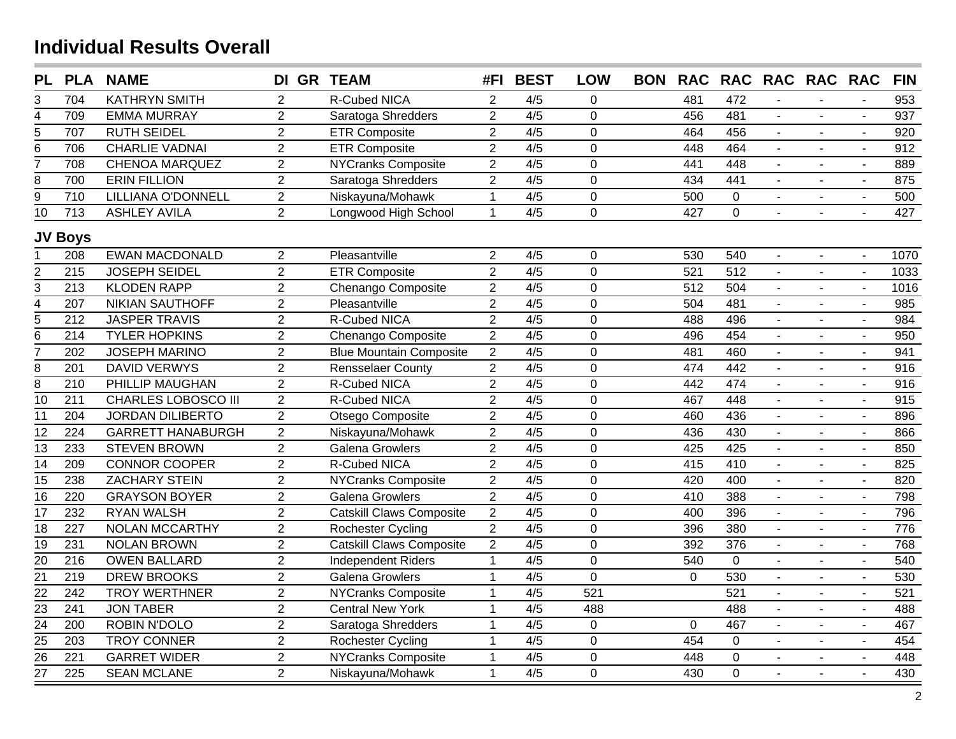| <b>PL</b>               |                  | <b>PLA NAME</b>            | DI GR TEAM     |                                 | #FI            | <b>BEST</b>      | <b>LOW</b>     | <b>BON</b> | <b>RAC</b>     |                | RAC RAC RAC RAC |                |                | <b>FIN</b> |
|-------------------------|------------------|----------------------------|----------------|---------------------------------|----------------|------------------|----------------|------------|----------------|----------------|-----------------|----------------|----------------|------------|
| 3                       | 704              | <b>KATHRYN SMITH</b>       | $\overline{2}$ | R-Cubed NICA                    | $\overline{2}$ | 4/5              | 0              |            | 481            | 472            |                 |                |                | 953        |
| $\overline{\mathbf{4}}$ | 709              | <b>EMMA MURRAY</b>         | $\overline{2}$ | Saratoga Shredders              | $\overline{2}$ | 4/5              | $\overline{0}$ |            | 456            | 481            | $\blacksquare$  |                |                | 937        |
| 5                       | 707              | <b>RUTH SEIDEL</b>         | $\overline{2}$ | <b>ETR Composite</b>            | $\overline{2}$ | 4/5              | $\Omega$       |            | 464            | 456            | $\mathbf{u}$    |                |                | 920        |
| 6                       | 706              | <b>CHARLIE VADNAI</b>      | $\overline{2}$ | <b>ETR Composite</b>            | $\overline{2}$ | 4/5              | $\overline{0}$ |            | 448            | 464            | $\mathbf{r}$    |                |                | 912        |
| 7                       | 708              | <b>CHENOA MARQUEZ</b>      | $\overline{2}$ | NYCranks Composite              | $\overline{2}$ | 4/5              | 0              |            | 441            | 448            |                 |                |                | 889        |
| $\overline{8}$          | 700              | <b>ERIN FILLION</b>        | $\overline{2}$ | Saratoga Shredders              | $\overline{2}$ | 4/5              | 0              |            | 434            | 441            | $\mathbf{L}$    | $\overline{a}$ | $\mathbf{r}$   | 875        |
| $\overline{9}$          | 710              | LILLIANA O'DONNELL         | $\overline{2}$ | Niskayuna/Mohawk                | $\mathbf{1}$   | 4/5              | 0              |            | 500            | $\Omega$       | $\sim$          |                | $\sim$         | 500        |
| $\overline{10}$         | $\overline{713}$ | <b>ASHLEY AVILA</b>        | $\overline{2}$ | Longwood High School            | $\mathbf{1}$   | 4/5              | 0              |            | 427            | $\overline{0}$ | $\blacksquare$  | $\blacksquare$ | $\sim$         | 427        |
|                         | <b>JV Boys</b>   |                            |                |                                 |                |                  |                |            |                |                |                 |                |                |            |
|                         | 208              | <b>EWAN MACDONALD</b>      | $\overline{2}$ | Pleasantville                   | $\overline{2}$ | 4/5              | $\mathbf 0$    |            | 530            | 540            | $\blacksquare$  | $\mathbf{r}$   | $\blacksquare$ | 1070       |
| $\overline{c}$          | 215              | <b>JOSEPH SEIDEL</b>       | $\overline{2}$ | <b>ETR Composite</b>            | $\overline{2}$ | 4/5              | $\overline{0}$ |            | 521            | 512            |                 | $\blacksquare$ |                | 1033       |
| $\overline{3}$          | 213              | <b>KLODEN RAPP</b>         | $\overline{2}$ | Chenango Composite              | $\overline{2}$ | $\overline{4/5}$ | $\overline{0}$ |            | 512            | 504            | $\mathbf{L}$    |                | $\mathbf{r}$   | 1016       |
| $\overline{4}$          | 207              | <b>NIKIAN SAUTHOFF</b>     | $\overline{2}$ | Pleasantville                   | $\overline{2}$ | 4/5              | $\overline{0}$ |            | 504            | 481            | $\mathbb{Z}^2$  | $\overline{a}$ | $\mathbf{r}$   | 985        |
| $\overline{5}$          | 212              | <b>JASPER TRAVIS</b>       | $\overline{2}$ | R-Cubed NICA                    | $\overline{2}$ | 4/5              | 0              |            | 488            | 496            | $\mathbf{r}$    | $\blacksquare$ | $\sim$         | 984        |
| $\overline{6}$          | 214              | <b>TYLER HOPKINS</b>       | $\overline{2}$ | Chenango Composite              | $\overline{2}$ | 4/5              | 0              |            | 496            | 454            | $\mathbf{r}$    | $\blacksquare$ | $\sim$         | 950        |
| $\overline{7}$          | 202              | <b>JOSEPH MARINO</b>       | $\overline{2}$ | <b>Blue Mountain Composite</b>  | $\overline{2}$ | 4/5              | $\overline{0}$ |            | 481            | 460            | $\sim$          | $\mathbf{r}$   | $\blacksquare$ | 941        |
| 8                       | 201              | <b>DAVID VERWYS</b>        | $\overline{2}$ | <b>Rensselaer County</b>        | $\overline{2}$ | 4/5              | 0              |            | 474            | 442            | $\blacksquare$  | $\blacksquare$ | $\mathbf{r}$   | 916        |
| $\overline{8}$          | 210              | PHILLIP MAUGHAN            | $\overline{2}$ | <b>R-Cubed NICA</b>             | $\overline{2}$ | 4/5              | $\overline{0}$ |            | 442            | 474            | $\blacksquare$  | $\blacksquare$ | $\blacksquare$ | 916        |
| 10                      | 211              | <b>CHARLES LOBOSCO III</b> | $\overline{2}$ | R-Cubed NICA                    | $\overline{2}$ | 4/5              | 0              |            | 467            | 448            | $\blacksquare$  | $\blacksquare$ | $\blacksquare$ | 915        |
| 11                      | 204              | <b>JORDAN DILIBERTO</b>    | $\overline{2}$ | Otsego Composite                | $\overline{2}$ | 4/5              | $\mathbf 0$    |            | 460            | 436            | $\blacksquare$  | $\blacksquare$ | $\blacksquare$ | 896        |
| 12                      | 224              | <b>GARRETT HANABURGH</b>   | $\overline{2}$ | Niskayuna/Mohawk                | $\overline{2}$ | 4/5              | $\mathbf 0$    |            | 436            | 430            | $\blacksquare$  | $\blacksquare$ | $\blacksquare$ | 866        |
| 13                      | 233              | <b>STEVEN BROWN</b>        | $\overline{2}$ | <b>Galena Growlers</b>          | $\overline{2}$ | 4/5              | $\overline{0}$ |            | 425            | 425            |                 | $\blacksquare$ | $\blacksquare$ | 850        |
| 14                      | 209              | <b>CONNOR COOPER</b>       | $\overline{2}$ | <b>R-Cubed NICA</b>             | $\overline{2}$ | 4/5              | $\overline{0}$ |            | 415            | 410            |                 | $\overline{a}$ | $\blacksquare$ | 825        |
| 15                      | 238              | <b>ZACHARY STEIN</b>       | $\overline{2}$ | <b>NYCranks Composite</b>       | $\overline{2}$ | 4/5              | $\mathbf 0$    |            | 420            | 400            | $\sim$          |                | $\sim$         | 820        |
| 16                      | 220              | <b>GRAYSON BOYER</b>       | $\overline{2}$ | <b>Galena Growlers</b>          | $\overline{2}$ | 4/5              | $\mathbf 0$    |            | 410            | 388            | $\sim$          | $\overline{a}$ | $\sim$         | 798        |
| 17                      | 232              | <b>RYAN WALSH</b>          | $\overline{2}$ | <b>Catskill Claws Composite</b> | $\overline{2}$ | 4/5              | $\mathbf 0$    |            | 400            | 396            | $\blacksquare$  |                | $\sim$         | 796        |
| 18                      | 227              | <b>NOLAN MCCARTHY</b>      | $\overline{2}$ | Rochester Cycling               | $\overline{2}$ | 4/5              | $\mathbf 0$    |            | 396            | 380            | $\sim$          |                | $\sim$         | 776        |
| $\overline{19}$         | 231              | <b>NOLAN BROWN</b>         | $\overline{2}$ | <b>Catskill Claws Composite</b> | $\overline{2}$ | 4/5              | $\overline{0}$ |            | 392            | 376            | $\overline{a}$  | $\overline{a}$ | $\overline{a}$ | 768        |
| $\overline{20}$         | 216              | <b>OWEN BALLARD</b>        | $\overline{2}$ | <b>Independent Riders</b>       | $\mathbf{1}$   | 4/5              | $\mathbf 0$    |            | 540            | $\overline{0}$ | $\sim$          | $\blacksquare$ | $\sim$         | 540        |
| $\overline{21}$         | 219              | <b>DREW BROOKS</b>         | $\overline{2}$ | <b>Galena Growlers</b>          | $\mathbf{1}$   | 4/5              | $\overline{0}$ |            | $\overline{0}$ | 530            | $\sim$          | $\overline{a}$ | $\sim$         | 530        |
| 22                      | 242              | <b>TROY WERTHNER</b>       | $\overline{2}$ | <b>NYCranks Composite</b>       | $\mathbf{1}$   | 4/5              | 521            |            |                | 521            | $\blacksquare$  | $\blacksquare$ | $\sim$         | 521        |
| $\overline{23}$         | 241              | <b>JON TABER</b>           | $\overline{2}$ | <b>Central New York</b>         | $\mathbf{1}$   | 4/5              | 488            |            |                | 488            | $\blacksquare$  | $\blacksquare$ | $\sim$         | 488        |
| $\overline{24}$         | 200              | <b>ROBIN N'DOLO</b>        | $\overline{2}$ | Saratoga Shredders              | $\mathbf{1}$   | 4/5              | $\overline{0}$ |            | $\Omega$       | 467            | $\blacksquare$  | $\blacksquare$ | $\sim$         | 467        |
| $\overline{25}$         | 203              | <b>TROY CONNER</b>         | $\overline{2}$ | Rochester Cycling               | $\mathbf{1}$   | 4/5              | $\mathbf 0$    |            | 454            | $\Omega$       |                 |                | $\sim$         | 454        |
| $\overline{26}$         | 221              | <b>GARRET WIDER</b>        | $\overline{2}$ | <b>NYCranks Composite</b>       | $\mathbf{1}$   | 4/5              | $\mathbf 0$    |            | 448            | 0              | $\mathbf{r}$    | $\overline{a}$ | $\sim$         | 448        |
| $\overline{27}$         | 225              | <b>SEAN MCLANE</b>         | $\overline{2}$ | Niskayuna/Mohawk                | $\mathbf{1}$   | 4/5              | 0              |            | 430            | 0              | L.              |                | $\blacksquare$ | 430        |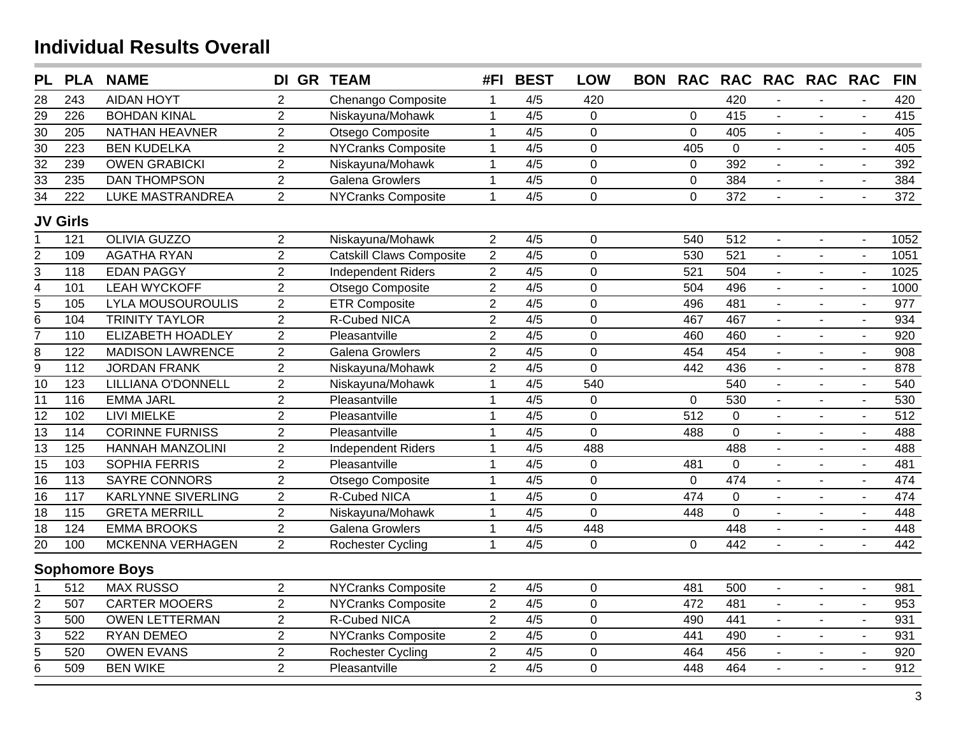| <b>PL</b>               | <b>PLA</b>        | <b>NAME</b>               | DI GR TEAM     |                           | #FI            | <b>BEST</b>      | <b>LOW</b>     | <b>BON</b> | <b>RAC</b>     |                  | RAC RAC RAC RAC |                |                | <b>FIN</b>       |
|-------------------------|-------------------|---------------------------|----------------|---------------------------|----------------|------------------|----------------|------------|----------------|------------------|-----------------|----------------|----------------|------------------|
| 28                      | 243               | <b>AIDAN HOYT</b>         | $\overline{2}$ | Chenango Composite        | $\mathbf 1$    | 4/5              | 420            |            |                | 420              |                 |                |                | 420              |
| 29                      | 226               | <b>BOHDAN KINAL</b>       | $\overline{2}$ | Niskayuna/Mohawk          | $\mathbf{1}$   | $\overline{4/5}$ | $\overline{0}$ |            | $\Omega$       | 415              | $\blacksquare$  |                |                | 415              |
| 30                      | 205               | <b>NATHAN HEAVNER</b>     | $\overline{2}$ | Otsego Composite          | $\mathbf{1}$   | 4/5              | $\mathbf 0$    |            | $\overline{0}$ | 405              | $\blacksquare$  |                | $\blacksquare$ | 405              |
| $\overline{30}$         | $\overline{223}$  | <b>BEN KUDELKA</b>        | $\overline{2}$ | <b>NYCranks Composite</b> | $\mathbf{1}$   | $\overline{4/5}$ | $\overline{0}$ |            | 405            | $\overline{0}$   |                 |                | $\blacksquare$ | 405              |
| $\overline{32}$         | 239               | <b>OWEN GRABICKI</b>      | $\overline{2}$ | Niskayuna/Mohawk          | $\mathbf{1}$   | 4/5              | $\overline{0}$ |            | $\overline{0}$ | 392              | $\blacksquare$  | $\blacksquare$ | $\omega$       | 392              |
| $\overline{33}$         | 235               | <b>DAN THOMPSON</b>       | $\overline{2}$ | <b>Galena Growlers</b>    | $\mathbf{1}$   | 4/5              | $\mathbf 0$    |            | $\mathbf 0$    | 384              |                 |                | $\blacksquare$ | 384              |
| $\overline{34}$         | 222               | LUKE MASTRANDREA          | $\overline{2}$ | <b>NYCranks Composite</b> | $\mathbf{1}$   | 4/5              | $\mathbf 0$    |            | $\overline{0}$ | 372              |                 |                | $\mathbf{r}$   | 372              |
|                         | <b>JV Girls</b>   |                           |                |                           |                |                  |                |            |                |                  |                 |                |                |                  |
| $\mathbf 1$             | 121               | <b>OLIVIA GUZZO</b>       | $\overline{2}$ | Niskayuna/Mohawk          | $\overline{2}$ | 4/5              | $\mathbf 0$    |            | 540            | 512              | $\overline{a}$  | $\sim$         | $\blacksquare$ | 1052             |
| $\overline{2}$          | 109               | <b>AGATHA RYAN</b>        | $\overline{2}$ | Catskill Claws Composite  | $\overline{2}$ | $\overline{4/5}$ | $\overline{0}$ |            | 530            | 521              |                 |                | $\overline{a}$ | 1051             |
| $\overline{3}$          | 118               | <b>EDAN PAGGY</b>         | $\overline{2}$ | <b>Independent Riders</b> | $\overline{2}$ | 4/5              | $\mathbf 0$    |            | 521            | 504              |                 | $\sim$         | $\mathbf{r}$   | 1025             |
|                         | 101               | <b>LEAH WYCKOFF</b>       | $\overline{2}$ | Otsego Composite          | $\overline{2}$ | 4/5              | $\mathbf 0$    |            | 504            | 496              | ä,              | $\blacksquare$ | $\blacksquare$ | 1000             |
| $\frac{4}{6}$           | 105               | <b>LYLA MOUSOUROULIS</b>  | $\overline{2}$ | <b>ETR Composite</b>      | $\overline{2}$ | 4/5              | $\overline{0}$ |            | 496            | 481              |                 | $\sim$         | $\blacksquare$ | 977              |
|                         | 104               | <b>TRINITY TAYLOR</b>     | $\overline{2}$ | R-Cubed NICA              | $\overline{2}$ | 4/5              | $\mathbf 0$    |            | 467            | 467              | $\blacksquare$  | $\blacksquare$ | $\blacksquare$ | 934              |
| $\overline{7}$          | 110               | <b>ELIZABETH HOADLEY</b>  | $\overline{2}$ | Pleasantville             | $\overline{2}$ | 4/5              | $\mathbf 0$    |            | 460            | 460              | $\blacksquare$  | $\blacksquare$ | $\blacksquare$ | 920              |
| $\overline{8}$          | 122               | <b>MADISON LAWRENCE</b>   | $\overline{2}$ | <b>Galena Growlers</b>    | $\overline{2}$ | 4/5              | $\mathbf 0$    |            | 454            | 454              | $\blacksquare$  | $\blacksquare$ | $\blacksquare$ | 908              |
| $\overline{9}$          | $112$             | <b>JORDAN FRANK</b>       | $\overline{2}$ | Niskayuna/Mohawk          | $\overline{2}$ | 4/5              | $\overline{0}$ |            | 442            | 436              | $\blacksquare$  | $\blacksquare$ | $\blacksquare$ | 878              |
| $\overline{10}$         | $\overline{123}$  | LILLIANA O'DONNELL        | $\overline{2}$ | Niskayuna/Mohawk          | $\overline{1}$ | $\overline{4/5}$ | 540            |            |                | $\overline{540}$ | $\blacksquare$  | $\blacksquare$ | $\blacksquare$ | 540              |
| 11                      | 116               | <b>EMMA JARL</b>          | $\overline{2}$ | Pleasantville             | $\mathbf{1}$   | 4/5              | $\mathbf 0$    |            | $\overline{0}$ | 530              | $\blacksquare$  | $\blacksquare$ | $\blacksquare$ | 530              |
| $\overline{12}$         | 102               | LIVI MIELKE               | $\overline{2}$ | Pleasantville             | $\mathbf{1}$   | $\overline{4/5}$ | $\mathbf 0$    |            | 512            | $\Omega$         | ÷,              | $\blacksquare$ | $\blacksquare$ | $\overline{512}$ |
| 13                      | 114               | <b>CORINNE FURNISS</b>    | $\overline{2}$ | Pleasantville             | $\mathbf{1}$   | 4/5              | $\overline{0}$ |            | 488            | $\overline{0}$   |                 |                | $\blacksquare$ | 488              |
| $\overline{13}$         | 125               | <b>HANNAH MANZOLINI</b>   | $\overline{2}$ | <b>Independent Riders</b> | $\mathbf{1}$   | $\overline{4/5}$ | 488            |            |                | 488              | $\mathbf{L}$    |                | $\mathbf{r}$   | 488              |
| 15                      | 103               | <b>SOPHIA FERRIS</b>      | $\overline{2}$ | Pleasantville             | $\mathbf{1}$   | 4/5              | $\mathbf 0$    |            | 481            | $\overline{0}$   |                 |                | $\blacksquare$ | 481              |
| $\overline{16}$         | 113               | <b>SAYRE CONNORS</b>      | $\overline{2}$ | Otsego Composite          | $\mathbf{1}$   | 4/5              | $\overline{0}$ |            | $\mathbf 0$    | 474              | $\mathbf{r}$    | $\blacksquare$ | $\mathbf{r}$   | 474              |
| 16                      | 117               | <b>KARLYNNE SIVERLING</b> | $\overline{2}$ | <b>R-Cubed NICA</b>       | $\mathbf{1}$   | 4/5              | $\mathbf 0$    |            | 474            | $\overline{0}$   | $\overline{a}$  | $\blacksquare$ | $\blacksquare$ | 474              |
| $\overline{18}$         | $\frac{115}{115}$ | <b>GRETA MERRILL</b>      | $\overline{2}$ | Niskayuna/Mohawk          | $\mathbf{1}$   | 4/5              | $\mathbf 0$    |            | 448            | $\overline{0}$   | $\blacksquare$  | $\blacksquare$ | $\sim$         | 448              |
| $\overline{18}$         | 124               | <b>EMMA BROOKS</b>        | $\overline{2}$ | <b>Galena Growlers</b>    | $\overline{1}$ | 4/5              | 448            |            |                | 448              | $\blacksquare$  | $\blacksquare$ | $\mathbf{r}$   | 448              |
| $\overline{20}$         | 100               | MCKENNA VERHAGEN          | $\overline{2}$ | Rochester Cycling         | $\mathbf{1}$   | 4/5              | $\mathbf 0$    |            | 0              | 442              | $\blacksquare$  | $\blacksquare$ | $\sim$         | 442              |
|                         |                   | <b>Sophomore Boys</b>     |                |                           |                |                  |                |            |                |                  |                 |                |                |                  |
|                         | 512               | <b>MAX RUSSO</b>          | $\overline{2}$ | <b>NYCranks Composite</b> | $\overline{2}$ | $\overline{4/5}$ | $\pmb{0}$      |            | 481            | 500              | $\blacksquare$  | $\blacksquare$ | $\blacksquare$ | 981              |
| $\overline{\mathbf{c}}$ | 507               | <b>CARTER MOOERS</b>      | $\overline{2}$ | <b>NYCranks Composite</b> | $\overline{2}$ | 4/5              | $\mathbf 0$    |            | 472            | 481              | $\blacksquare$  | $\blacksquare$ | $\blacksquare$ | 953              |
| $\overline{3}$          | 500               | <b>OWEN LETTERMAN</b>     | $\overline{2}$ | <b>R-Cubed NICA</b>       | $\overline{2}$ | 4/5              | $\mathbf 0$    |            | 490            | 441              | $\blacksquare$  | $\blacksquare$ | $\blacksquare$ | 931              |
| $\overline{3}$          | 522               | <b>RYAN DEMEO</b>         | $\overline{2}$ | <b>NYCranks Composite</b> | $\overline{2}$ | 4/5              | $\mathbf 0$    |            | 441            | 490              | $\blacksquare$  |                | $\blacksquare$ | 931              |
| $\overline{5}$          | 520               | <b>OWEN EVANS</b>         | $\overline{2}$ | Rochester Cycling         | $\overline{2}$ | 4/5              | $\overline{0}$ |            | 464            | 456              | $\blacksquare$  | $\blacksquare$ | $\blacksquare$ | 920              |
| $\overline{6}$          | 509               | <b>BEN WIKE</b>           | $\overline{2}$ | Pleasantville             | $\overline{2}$ | 4/5              | $\overline{0}$ |            | 448            | 464              |                 |                | ÷.             | 912              |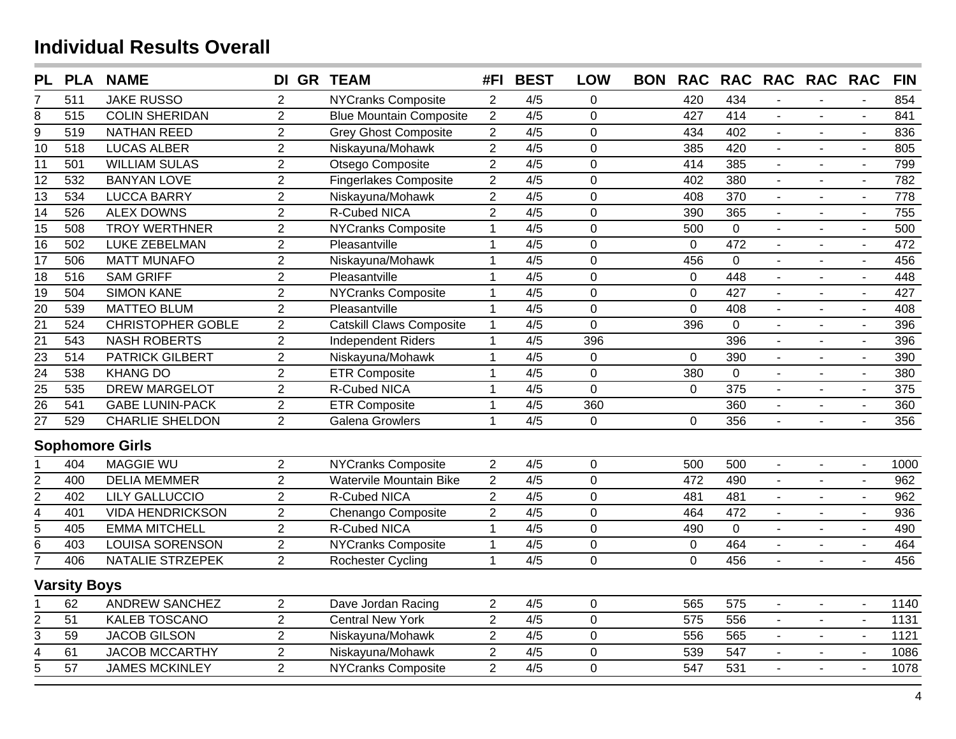| <b>PL</b>               | <b>PLA</b>          | <b>NAME</b>              | DI GR TEAM     |                                 | #FI            | <b>BEST</b>      | <b>LOW</b>     | <b>BON</b> | <b>RAC</b>     |                  | RAC RAC RAC RAC |                |                             | <b>FIN</b> |
|-------------------------|---------------------|--------------------------|----------------|---------------------------------|----------------|------------------|----------------|------------|----------------|------------------|-----------------|----------------|-----------------------------|------------|
| 7                       | 511                 | <b>JAKE RUSSO</b>        | $\overline{2}$ | <b>NYCranks Composite</b>       | $\overline{2}$ | 4/5              | $\mathbf 0$    |            | 420            | 434              |                 |                |                             | 854        |
| 8                       | 515                 | <b>COLIN SHERIDAN</b>    | $\overline{2}$ | <b>Blue Mountain Composite</b>  | $\overline{2}$ | 4/5              | $\mathbf 0$    |            | 427            | 414              |                 |                |                             | 841        |
| $\overline{9}$          | 519                 | <b>NATHAN REED</b>       | $\overline{2}$ | <b>Grey Ghost Composite</b>     | $\overline{2}$ | 4/5              | $\mathbf 0$    |            | 434            | 402              | $\blacksquare$  |                | $\sim$                      | 836        |
| $\overline{10}$         | 518                 | <b>LUCAS ALBER</b>       | $\overline{2}$ | Niskayuna/Mohawk                | $\overline{2}$ | 4/5              | $\mathbf 0$    |            | 385            | 420              | $\blacksquare$  |                | $\blacksquare$              | 805        |
| 11                      | 501                 | <b>WILLIAM SULAS</b>     | $\overline{2}$ | Otsego Composite                | $\overline{2}$ | 4/5              | $\mathsf 0$    |            | 414            | 385              | $\blacksquare$  | $\blacksquare$ | $\blacksquare$              | 799        |
| 12                      | 532                 | <b>BANYAN LOVE</b>       | $\overline{2}$ | <b>Fingerlakes Composite</b>    | $\overline{2}$ | $\overline{4/5}$ | $\overline{0}$ |            | 402            | 380              | $\blacksquare$  | $\blacksquare$ | $\blacksquare$              | 782        |
| 13                      | 534                 | <b>LUCCA BARRY</b>       | $\overline{2}$ | Niskayuna/Mohawk                | $\overline{2}$ | 4/5              | $\mathbf 0$    |            | 408            | 370              | $\blacksquare$  |                | $\blacksquare$              | 778        |
| $\overline{14}$         | 526                 | <b>ALEX DOWNS</b>        | $\overline{2}$ | <b>R-Cubed NICA</b>             | $\overline{2}$ | $\overline{4/5}$ | $\overline{0}$ |            | 390            | 365              | $\blacksquare$  |                | $\blacksquare$              | 755        |
| 15                      | 508                 | <b>TROY WERTHNER</b>     | $\overline{2}$ | <b>NYCranks Composite</b>       | $\overline{1}$ | 4/5              | $\mathbf 0$    |            | 500            | $\overline{0}$   | $\mathbf{r}$    | $\blacksquare$ | $\mathbf{r}$                | 500        |
| $\overline{16}$         | 502                 | <b>LUKE ZEBELMAN</b>     | $\overline{2}$ | Pleasantville                   | $\mathbf 1$    | 4/5              | $\overline{0}$ |            | $\mathbf 0$    | 472              | $\blacksquare$  |                | $\blacksquare$              | 472        |
| 17                      | 506                 | <b>MATT MUNAFO</b>       | $\overline{2}$ | Niskayuna/Mohawk                | $\mathbf 1$    | 4/5              | $\overline{0}$ |            | 456            | $\Omega$         | $\mathbf{r}$    | $\mathbf{r}$   | $\blacksquare$              | 456        |
| 18                      | 516                 | <b>SAM GRIFF</b>         | $\overline{2}$ | Pleasantville                   | $\mathbf{1}$   | 4/5              | $\overline{0}$ |            | $\mathbf 0$    | 448              |                 |                | $\blacksquare$              | 448        |
| $\overline{19}$         | 504                 | <b>SIMON KANE</b>        | $\overline{2}$ | <b>NYCranks Composite</b>       | $\mathbf{1}$   | 4/5              | $\mathbf 0$    |            | $\mathbf 0$    | 427              |                 |                | $\blacksquare$              | 427        |
| $\overline{20}$         | 539                 | <b>MATTEO BLUM</b>       | $\overline{2}$ | Pleasantville                   | $\mathbf{1}$   | 4/5              | $\mathbf 0$    |            | $\mathbf 0$    | 408              | $\mathbf{r}$    |                | $\mathbf{r}$                | 408        |
| $\overline{21}$         | 524                 | <b>CHRISTOPHER GOBLE</b> | $\overline{2}$ | <b>Catskill Claws Composite</b> | $\mathbf{1}$   | 4/5              | $\mathbf 0$    |            | 396            | $\mathbf 0$      |                 |                | $\blacksquare$              | 396        |
| $\overline{21}$         | 543                 | <b>NASH ROBERTS</b>      | $\overline{2}$ | <b>Independent Riders</b>       | $\mathbf{1}$   | 4/5              | 396            |            |                | 396              | $\blacksquare$  | $\blacksquare$ | $\mathbf{r}$                | 396        |
| 23                      | 514                 | <b>PATRICK GILBERT</b>   | $\overline{2}$ | Niskayuna/Mohawk                | $\mathbf{1}$   | 4/5              | $\mathbf 0$    |            | $\mathbf 0$    | 390              | $\blacksquare$  | $\blacksquare$ | $\blacksquare$              | 390        |
| $\overline{24}$         | 538                 | <b>KHANG DO</b>          | $\overline{2}$ | <b>ETR Composite</b>            | $\mathbf{1}$   | 4/5              | $\mathbf 0$    |            | 380            | $\mathbf 0$      | $\blacksquare$  | $\blacksquare$ | $\blacksquare$              | 380        |
| $\overline{25}$         | 535                 | <b>DREW MARGELOT</b>     | $\overline{2}$ | R-Cubed NICA                    | $\mathbf{1}$   | 4/5              | $\mathbf 0$    |            | $\mathbf 0$    | 375              | $\blacksquare$  | $\blacksquare$ | $\mathcal{L}_{\mathcal{C}}$ | 375        |
| $\overline{26}$         | 541                 | <b>GABE LUNIN-PACK</b>   | $\overline{2}$ | <b>ETR Composite</b>            | $\mathbf{1}$   | 4/5              | 360            |            |                | 360              | $\blacksquare$  | $\blacksquare$ | $\blacksquare$              | 360        |
| $\overline{27}$         | 529                 | <b>CHARLIE SHELDON</b>   | $\overline{2}$ | <b>Galena Growlers</b>          | $\mathbf{1}$   | 4/5              | $\overline{0}$ |            | 0              | 356              | $\blacksquare$  |                | $\blacksquare$              | 356        |
|                         |                     | <b>Sophomore Girls</b>   |                |                                 |                |                  |                |            |                |                  |                 |                |                             |            |
|                         | 404                 | <b>MAGGIE WU</b>         | $\overline{2}$ | <b>NYCranks Composite</b>       | $\overline{2}$ | 4/5              | $\pmb{0}$      |            | 500            | 500              | $\blacksquare$  | $\blacksquare$ | $\blacksquare$              | 1000       |
| $\overline{\mathbf{c}}$ | 400                 | <b>DELIA MEMMER</b>      | $\overline{2}$ | Watervile Mountain Bike         | $\overline{2}$ | $\overline{4/5}$ | $\mathbf 0$    |            | 472            | 490              | $\blacksquare$  |                | $\overline{\phantom{a}}$    | 962        |
| $\overline{2}$          | 402                 | <b>LILY GALLUCCIO</b>    | $\overline{2}$ | <b>R-Cubed NICA</b>             | $\overline{2}$ | 4/5              | $\mathbf 0$    |            | 481            | 481              | $\blacksquare$  | $\blacksquare$ | $\blacksquare$              | 962        |
| $\overline{4}$          | 401                 | <b>VIDA HENDRICKSON</b>  | $\overline{2}$ | Chenango Composite              | $\overline{2}$ | $\overline{4/5}$ | $\mathbf 0$    |            | 464            | $\overline{472}$ | $\blacksquare$  | $\blacksquare$ | $\blacksquare$              | 936        |
| $\overline{5}$          | 405                 | <b>EMMA MITCHELL</b>     | $\overline{2}$ | <b>R-Cubed NICA</b>             | $\mathbf{1}$   | 4/5              | $\mathbf 0$    |            | 490            | $\overline{0}$   |                 |                | $\blacksquare$              | 490        |
| $\overline{6}$          | 403                 | <b>LOUISA SORENSON</b>   | $\overline{2}$ | <b>NYCranks Composite</b>       | $\mathbf{1}$   | $\overline{4/5}$ | $\mathbf 0$    |            | $\mathbf 0$    | 464              |                 | $\blacksquare$ | $\blacksquare$              | 464        |
| $\overline{7}$          | 406                 | NATALIE STRZEPEK         | $\overline{2}$ | Rochester Cycling               | $\overline{1}$ | 4/5              | $\Omega$       |            | $\overline{0}$ | 456              |                 |                | $\mathbf{r}$                | 456        |
|                         | <b>Varsity Boys</b> |                          |                |                                 |                |                  |                |            |                |                  |                 |                |                             |            |
| 1                       | 62                  | <b>ANDREW SANCHEZ</b>    | $\overline{2}$ | Dave Jordan Racing              | $\overline{2}$ | 4/5              | $\pmb{0}$      |            | 565            | 575              | $\blacksquare$  | $\sim$         | $\blacksquare$              | 1140       |
| $\overline{\mathbf{c}}$ | 51                  | <b>KALEB TOSCANO</b>     | $\overline{2}$ | <b>Central New York</b>         | $\overline{2}$ | $\overline{4/5}$ | $\overline{0}$ |            | 575            | 556              |                 |                | $\blacksquare$              | 1131       |
| 3                       | 59                  | <b>JACOB GILSON</b>      | $\overline{2}$ | Niskayuna/Mohawk                | $\overline{2}$ | 4/5              | $\mathbf 0$    |            | 556            | 565              |                 | $\blacksquare$ | $\blacksquare$              | 1121       |
| $\overline{4}$          | 61                  | <b>JACOB MCCARTHY</b>    | $\overline{2}$ | Niskayuna/Mohawk                | $\overline{2}$ | 4/5              | $\mathbf 0$    |            | 539            | 547              | $\overline{a}$  | $\mathbf{r}$   | $\sim$                      | 1086       |
| $\overline{5}$          | $\overline{57}$     | <b>JAMES MCKINLEY</b>    | $\overline{2}$ | <b>NYCranks Composite</b>       | $\overline{2}$ | $\overline{4/5}$ | $\overline{0}$ |            | 547            | 531              |                 |                |                             | 1078       |